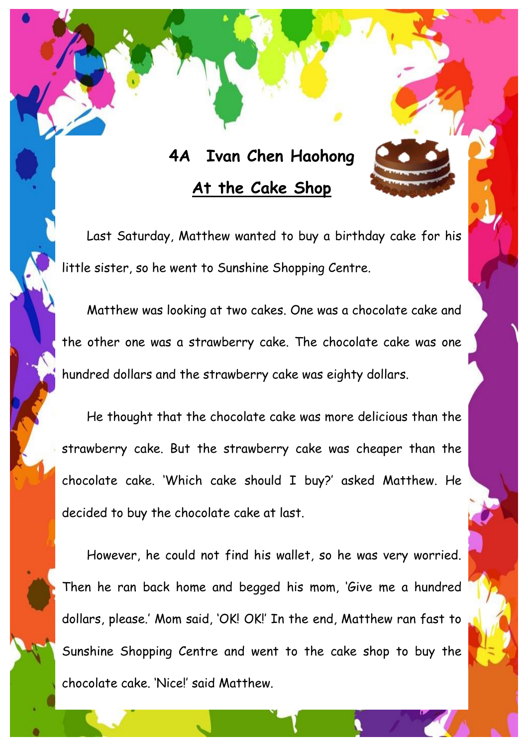## **4A Ivan Chen Haohong At the Cake Shop**

Last Saturday, Matthew wanted to buy a birthday cake for his little sister, so he went to Sunshine Shopping Centre.

Matthew was looking at two cakes. One was a chocolate cake and the other one was a strawberry cake. The chocolate cake was one hundred dollars and the strawberry cake was eighty dollars.

He thought that the chocolate cake was more delicious than the strawberry cake. But the strawberry cake was cheaper than the chocolate cake. 'Which cake should I buy?' asked Matthew. He decided to buy the chocolate cake at last.

However, he could not find his wallet, so he was very worried. Then he ran back home and begged his mom, 'Give me a hundred dollars, please.' Mom said, 'OK! OK!' In the end, Matthew ran fast to Sunshine Shopping Centre and went to the cake shop to buy the chocolate cake. 'Nice!' said Matthew.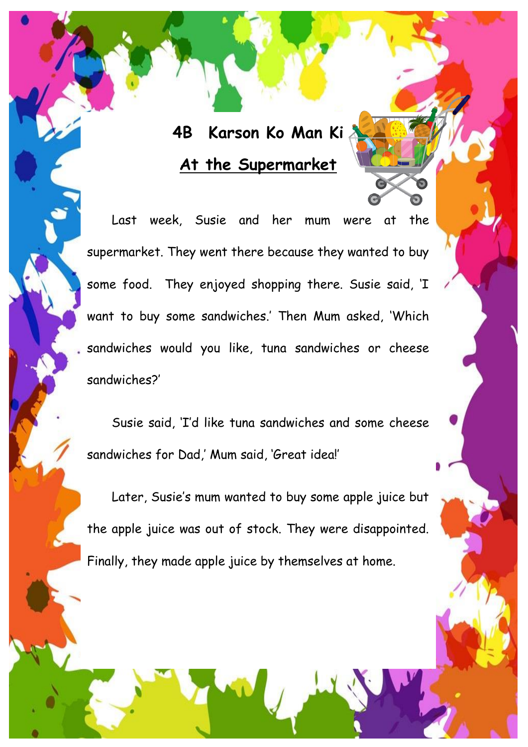## **4B Karson Ko Man Ki At the Supermarket**

Last week, Susie and her mum were at the supermarket. They went there because they wanted to buy some food. They enjoyed shopping there. Susie said, 'I want to buy some sandwiches.' Then Mum asked, 'Which sandwiches would you like, tuna sandwiches or cheese sandwiches?'

Susie said, 'I'd like tuna sandwiches and some cheese sandwiches for Dad,' Mum said, 'Great idea!'

Later, Susie's mum wanted to buy some apple juice but the apple juice was out of stock. They were disappointed. Finally, they made apple juice by themselves at home.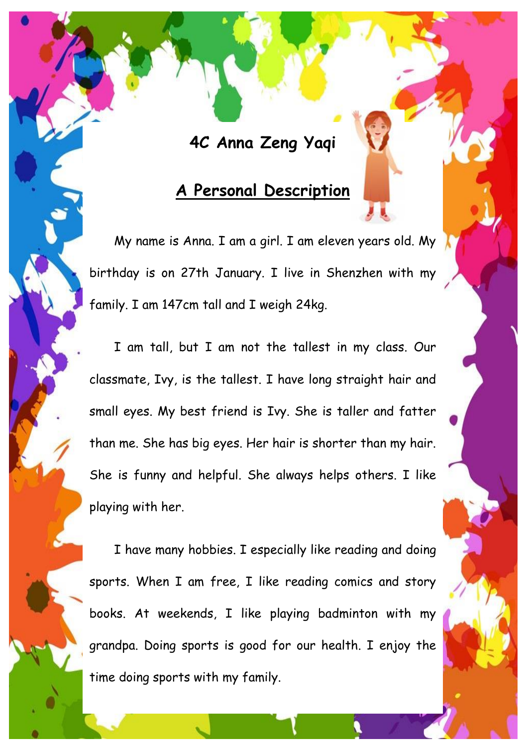### **4C Anna Zeng Yaqi**

#### **A Personal Description**

My name is Anna. I am a girl. I am eleven years old. My birthday is on 27th January. I live in Shenzhen with my family. I am 147cm tall and I weigh 24kg.

I am tall, but I am not the tallest in my class. Our classmate, Ivy, is the tallest. I have long straight hair and small eyes. My best friend is Ivy. She is taller and fatter than me. She has big eyes. Her hair is shorter than my hair. She is funny and helpful. She always helps others. I like playing with her.

I have many hobbies. I especially like reading and doing sports. When I am free, I like reading comics and story books. At weekends, I like playing badminton with my grandpa. Doing sports is good for our health. I enjoy the time doing sports with my family.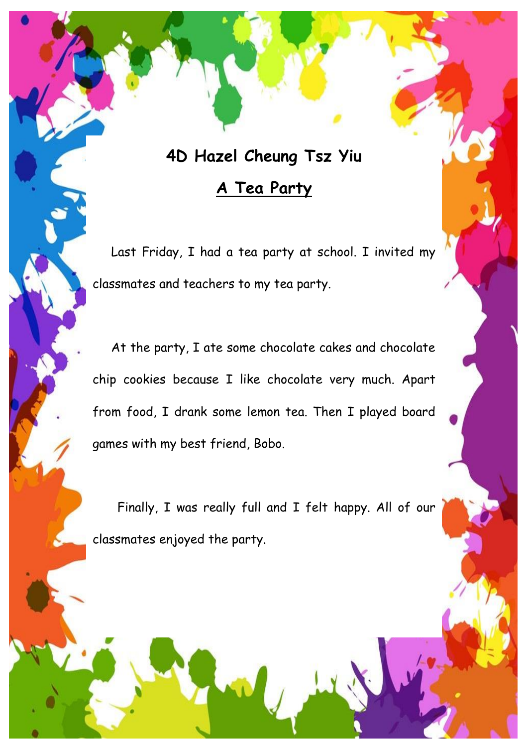# **4D Hazel Cheung Tsz Yiu A Tea Party**

Last Friday, I had a tea party at school. I invited my classmates and teachers to my tea party.

At the party, I ate some chocolate cakes and chocolate chip cookies because I like chocolate very much. Apart from food, I drank some lemon tea. Then I played board games with my best friend, Bobo.

Finally, I was really full and I felt happy. All of our classmates enjoyed the party.